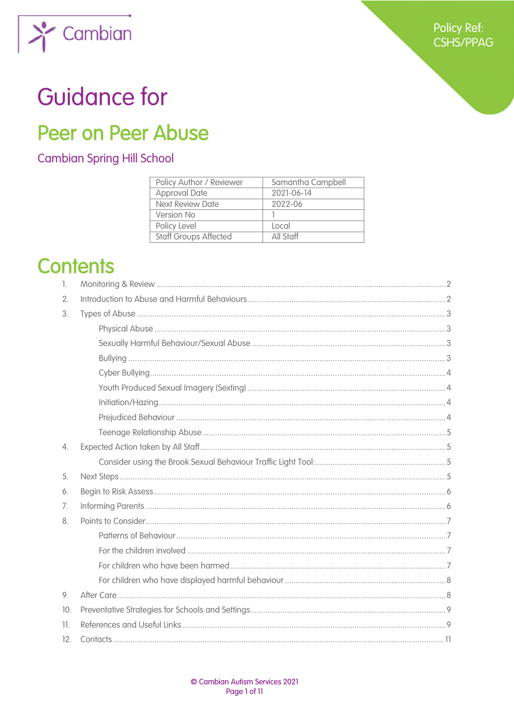

# **Guidance for**

Cambian

## **Peer on Peer Abuse**

### **Cambian Spring Hill School**

| Policy Author / Reviewer     | Samantha Campbell |
|------------------------------|-------------------|
| <b>Approval Date</b>         | 2021-06-14        |
| <b>Next Review Date</b>      | 2022-06           |
| Version No                   |                   |
| Policy Level                 | Local             |
| <b>Staff Groups Affected</b> | All Staff         |

## **Contents**

| 1.               |  |  |
|------------------|--|--|
| 2.               |  |  |
| 3.               |  |  |
|                  |  |  |
|                  |  |  |
|                  |  |  |
|                  |  |  |
|                  |  |  |
|                  |  |  |
|                  |  |  |
|                  |  |  |
| $\overline{4}$ . |  |  |
|                  |  |  |
| 5.               |  |  |
| 6.               |  |  |
| 7.               |  |  |
| 8.               |  |  |
|                  |  |  |
|                  |  |  |
|                  |  |  |
|                  |  |  |
| 9.               |  |  |
| 10.              |  |  |
| 11.              |  |  |
| 12.              |  |  |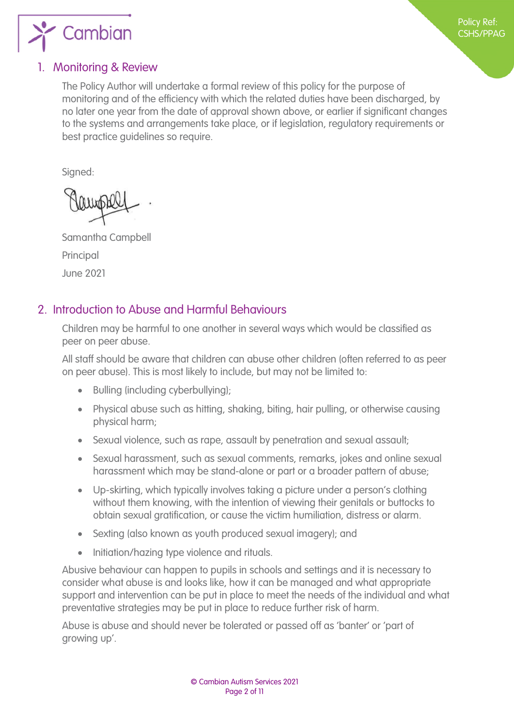

#### <span id="page-1-0"></span>1. Monitoring & Review

The Policy Author will undertake a formal review of this policy for the purpose of monitoring and of the efficiency with which the related duties have been discharged, by no later one year from the date of approval shown above, or earlier if significant changes to the systems and arrangements take place, or if legislation, regulatory requirements or best practice guidelines so require.

Signed:

Samantha Campbell Principal June 2021

#### <span id="page-1-1"></span>2. Introduction to Abuse and Harmful Behaviours

Children may be harmful to one another in several ways which would be classified as peer on peer abuse.

All staff should be aware that children can abuse other children (often referred to as peer on peer abuse). This is most likely to include, but may not be limited to:

- Bulling (including cyberbullying);
- Physical abuse such as hitting, shaking, biting, hair pulling, or otherwise causing physical harm;
- Sexual violence, such as rape, assault by penetration and sexual assault;
- Sexual harassment, such as sexual comments, remarks, jokes and online sexual harassment which may be stand-alone or part or a broader pattern of abuse;
- Up-skirting, which typically involves taking a picture under a person's clothing without them knowing, with the intention of viewing their genitals or buttocks to obtain sexual gratification, or cause the victim humiliation, distress or alarm.
- Sexting (also known as youth produced sexual imagery); and
- Initiation/hazing type violence and rituals.

Abusive behaviour can happen to pupils in schools and settings and it is necessary to consider what abuse is and looks like, how it can be managed and what appropriate support and intervention can be put in place to meet the needs of the individual and what preventative strategies may be put in place to reduce further risk of harm.

Abuse is abuse and should never be tolerated or passed off as 'banter' or 'part of growing up'.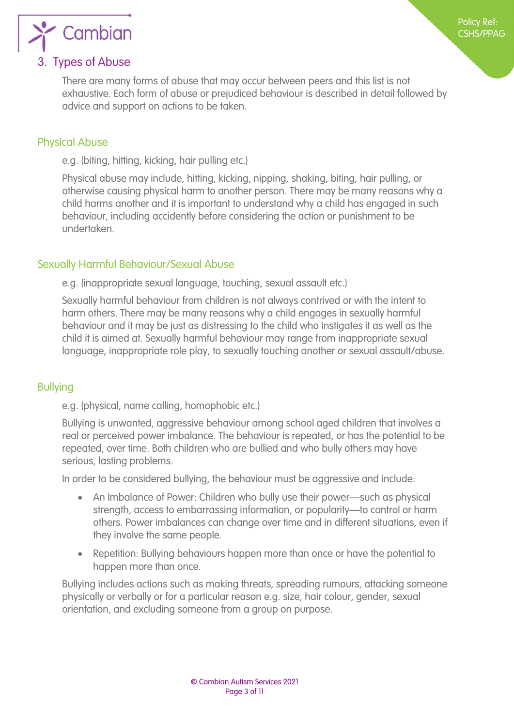

#### <span id="page-2-1"></span>3. Types of Abuse

<span id="page-2-0"></span>There are many forms of abuse that may occur between peers and this list is not exhaustive. Each form of abuse or prejudiced behaviour is described in detail followed by advice and support on actions to be taken.

#### <span id="page-2-2"></span>Physical Abuse

e.g. (biting, hitting, kicking, hair pulling etc.)

Physical abuse may include, hitting, kicking, nipping, shaking, biting, hair pulling, or otherwise causing physical harm to another person. There may be many reasons why a child harms another and it is important to understand why a child has engaged in such behaviour, including accidently before considering the action or punishment to be undertaken.

#### <span id="page-2-3"></span>Sexually Harmful Behaviour/Sexual Abuse

e.g. (inappropriate sexual language, touching, sexual assault etc.)

Sexually harmful behaviour from children is not always contrived or with the intent to harm others. There may be many reasons why a child engages in sexually harmful behaviour and it may be just as distressing to the child who instigates it as well as the child it is aimed at. Sexually harmful behaviour may range from inappropriate sexual language, inappropriate role play, to sexually touching another or sexual assault/abuse.

#### <span id="page-2-4"></span>Bullying

e.g. (physical, name calling, homophobic etc.)

Bullying is unwanted, aggressive behaviour among school aged children that involves a real or perceived power imbalance. The behaviour is repeated, or has the potential to be repeated, over time. Both children who are bullied and who bully others may have serious, lasting problems.

In order to be considered bullying, the behaviour must be aggressive and include:

- An Imbalance of Power: Children who bully use their power—such as physical strength, access to embarrassing information, or popularity—to control or harm others. Power imbalances can change over time and in different situations, even if they involve the same people.
- Repetition: Bullying behaviours happen more than once or have the potential to happen more than once.

Bullying includes actions such as making threats, spreading rumours, attacking someone physically or verbally or for a particular reason e.g. size, hair colour, gender, sexual orientation, and excluding someone from a group on purpose.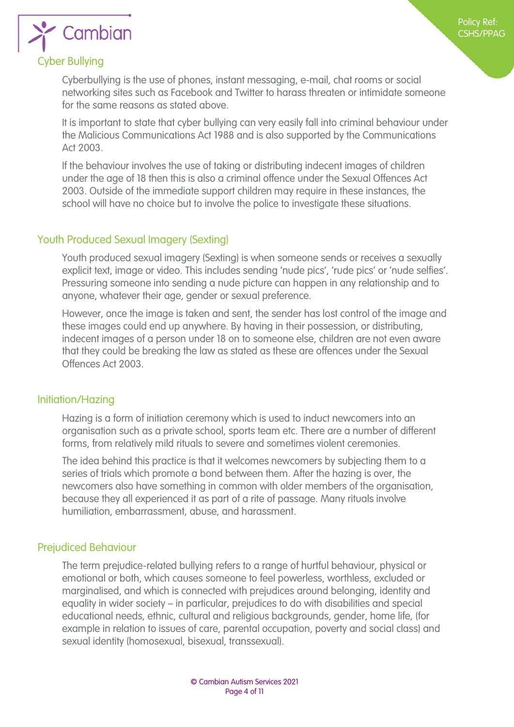# Cambian

#### <span id="page-3-1"></span>Cyber Bullying

<span id="page-3-0"></span>Cyberbullying is the use of phones, instant messaging, e-mail, chat rooms or social networking sites such as Facebook and Twitter to harass threaten or intimidate someone for the same reasons as stated above.

It is important to state that cyber bullying can very easily fall into criminal behaviour under the Malicious Communications Act 1988 and is also supported by the Communications Act 2003.

If the behaviour involves the use of taking or distributing indecent images of children under the age of 18 then this is also a criminal offence under the Sexual Offences Act 2003. Outside of the immediate support children may require in these instances, the school will have no choice but to involve the police to investigate these situations.

#### <span id="page-3-2"></span>Youth Produced Sexual Imagery (Sexting)

Youth produced sexual imagery (Sexting) is when someone sends or receives a sexually explicit text, image or video. This includes sending 'nude pics', 'rude pics' or 'nude selfies'. Pressuring someone into sending a nude picture can happen in any relationship and to anyone, whatever their age, gender or sexual preference.

However, once the image is taken and sent, the sender has lost control of the image and these images could end up anywhere. By having in their possession, or distributing, indecent images of a person under 18 on to someone else, children are not even aware that they could be breaking the law as stated as these are offences under the Sexual Offences Act 2003.

#### <span id="page-3-3"></span>Initiation/Hazing

Hazing is a form of initiation ceremony which is used to induct newcomers into an organisation such as a private school, sports team etc. There are a number of different forms, from relatively mild rituals to severe and sometimes violent ceremonies.

The idea behind this practice is that it welcomes newcomers by subjecting them to a series of trials which promote a bond between them. After the hazing is over, the newcomers also have something in common with older members of the organisation, because they all experienced it as part of a rite of passage. Many rituals involve humiliation, embarrassment, abuse, and harassment.

#### <span id="page-3-4"></span>Prejudiced Behaviour

The term prejudice-related bullying refers to a range of hurtful behaviour, physical or emotional or both, which causes someone to feel powerless, worthless, excluded or marginalised, and which is connected with prejudices around belonging, identity and equality in wider society – in particular, prejudices to do with disabilities and special educational needs, ethnic, cultural and religious backgrounds, gender, home life, (for example in relation to issues of care, parental occupation, poverty and social class) and sexual identity (homosexual, bisexual, transsexual).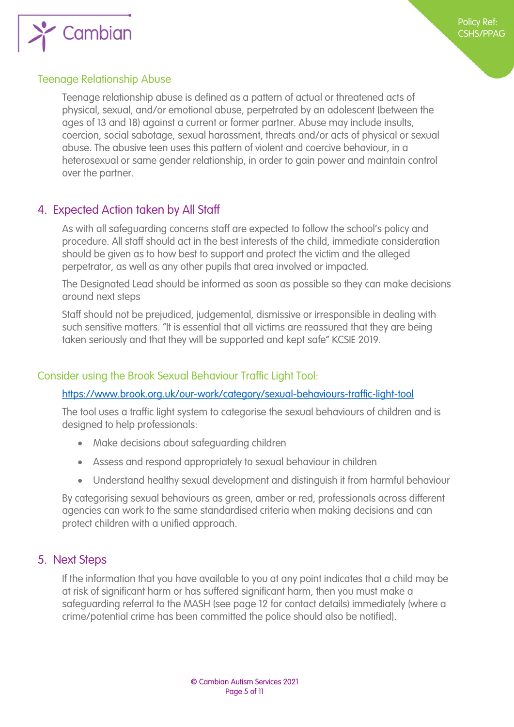

#### <span id="page-4-0"></span>Teenage Relationship Abuse

Teenage relationship abuse is defined as a pattern of actual or threatened acts of physical, sexual, and/or emotional abuse, perpetrated by an adolescent (between the ages of 13 and 18) against a current or former partner. Abuse may include insults, coercion, social sabotage, sexual harassment, threats and/or acts of physical or sexual abuse. The abusive teen uses this pattern of violent and coercive behaviour, in a heterosexual or same gender relationship, in order to gain power and maintain control over the partner.

#### <span id="page-4-1"></span>4. Expected Action taken by All Staff

As with all safeguarding concerns staff are expected to follow the school's policy and procedure. All staff should act in the best interests of the child, immediate consideration should be given as to how best to support and protect the victim and the alleged perpetrator, as well as any other pupils that area involved or impacted.

The Designated Lead should be informed as soon as possible so they can make decisions around next steps

Staff should not be prejudiced, judgemental, dismissive or irresponsible in dealing with such sensitive matters. "It is essential that all victims are reassured that they are being taken seriously and that they will be supported and kept safe" KCSIE 2019.

#### <span id="page-4-2"></span>Consider using the Brook Sexual Behaviour Traffic Light Tool:

#### <https://www.brook.org.uk/our-work/category/sexual-behaviours-traffic-light-tool>

The tool uses a traffic light system to categorise the sexual behaviours of children and is designed to help professionals:

- Make decisions about safeguarding children
- Assess and respond appropriately to sexual behaviour in children
- Understand healthy sexual development and distinguish it from harmful behaviour

By categorising sexual behaviours as green, amber or red, professionals across different agencies can work to the same standardised criteria when making decisions and can protect children with a unified approach.

#### <span id="page-4-3"></span>5. Next Steps

If the information that you have available to you at any point indicates that a child may be at risk of significant harm or has suffered significant harm, then you must make a safeguarding referral to the MASH (see page 12 for contact details) immediately (where a crime/potential crime has been committed the police should also be notified).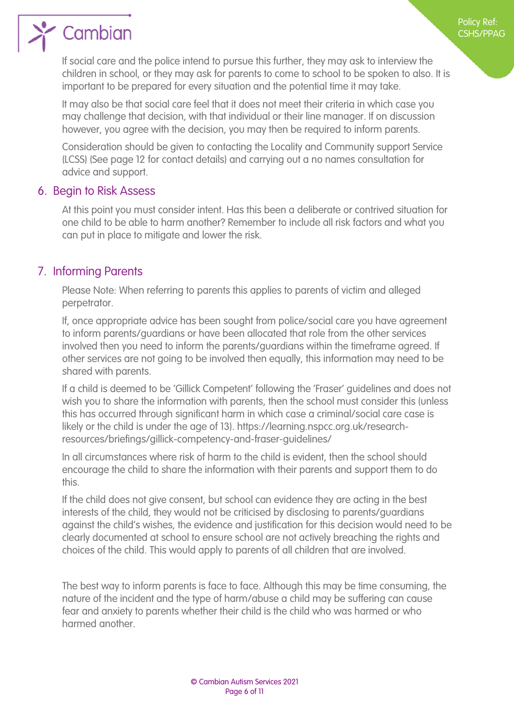

If social care and the police intend to pursue this further, they may ask to interview the children in school, or they may ask for parents to come to school to be spoken to also. It is important to be prepared for every situation and the potential time it may take.

Policy Ref: CSHS/PPAG

It may also be that social care feel that it does not meet their criteria in which case you may challenge that decision, with that individual or their line manager. If on discussion however, you agree with the decision, you may then be required to inform parents.

Consideration should be given to contacting the Locality and Community support Service (LCSS) (See page 12 for contact details) and carrying out a no names consultation for advice and support.

#### <span id="page-5-0"></span>6. Begin to Risk Assess

At this point you must consider intent. Has this been a deliberate or contrived situation for one child to be able to harm another? Remember to include all risk factors and what you can put in place to mitigate and lower the risk.

#### <span id="page-5-1"></span>7. Informing Parents

Please Note: When referring to parents this applies to parents of victim and alleged perpetrator.

If, once appropriate advice has been sought from police/social care you have agreement to inform parents/guardians or have been allocated that role from the other services involved then you need to inform the parents/guardians within the timeframe agreed. If other services are not going to be involved then equally, this information may need to be shared with parents.

If a child is deemed to be 'Gillick Competent' following the 'Fraser' guidelines and does not wish you to share the information with parents, then the school must consider this (unless this has occurred through significant harm in which case a criminal/social care case is likely or the child is under the age of 13). https://learning.nspcc.org.uk/researchresources/briefings/gillick-competency-and-fraser-guidelines/

In all circumstances where risk of harm to the child is evident, then the school should encourage the child to share the information with their parents and support them to do this.

If the child does not give consent, but school can evidence they are acting in the best interests of the child, they would not be criticised by disclosing to parents/guardians against the child's wishes, the evidence and justification for this decision would need to be clearly documented at school to ensure school are not actively breaching the rights and choices of the child. This would apply to parents of all children that are involved.

The best way to inform parents is face to face. Although this may be time consuming, the nature of the incident and the type of harm/abuse a child may be suffering can cause fear and anxiety to parents whether their child is the child who was harmed or who harmed another.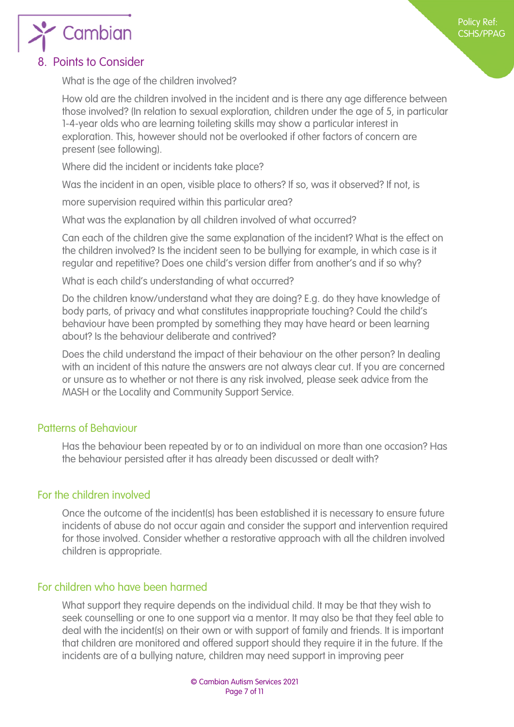

<span id="page-6-0"></span>What is the age of the children involved?

How old are the children involved in the incident and is there any age difference between those involved? (In relation to sexual exploration, children under the age of 5, in particular 1-4-year olds who are learning toileting skills may show a particular interest in exploration. This, however should not be overlooked if other factors of concern are present (see following).

Where did the incident or incidents take place?

Was the incident in an open, visible place to others? If so, was it observed? If not, is

more supervision required within this particular area?

What was the explanation by all children involved of what occurred?

Can each of the children give the same explanation of the incident? What is the effect on the children involved? Is the incident seen to be bullying for example, in which case is it regular and repetitive? Does one child's version differ from another's and if so why?

What is each child's understanding of what occurred?

Do the children know/understand what they are doing? E.g. do they have knowledge of body parts, of privacy and what constitutes inappropriate touching? Could the child's behaviour have been prompted by something they may have heard or been learning about? Is the behaviour deliberate and contrived?

Does the child understand the impact of their behaviour on the other person? In dealing with an incident of this nature the answers are not always clear cut. If you are concerned or unsure as to whether or not there is any risk involved, please seek advice from the MASH or the Locality and Community Support Service.

#### Patterns of Behaviour

<span id="page-6-1"></span>Has the behaviour been repeated by or to an individual on more than one occasion? Has the behaviour persisted after it has already been discussed or dealt with?

#### For the children involved

<span id="page-6-2"></span>Once the outcome of the incident(s) has been established it is necessary to ensure future incidents of abuse do not occur again and consider the support and intervention required for those involved. Consider whether a restorative approach with all the children involved children is appropriate.

#### For children who have been harmed

<span id="page-6-3"></span>What support they require depends on the individual child. It may be that they wish to seek counselling or one to one support via a mentor. It may also be that they feel able to deal with the incident(s) on their own or with support of family and friends. It is important that children are monitored and offered support should they require it in the future. If the incidents are of a bullying nature, children may need support in improving peer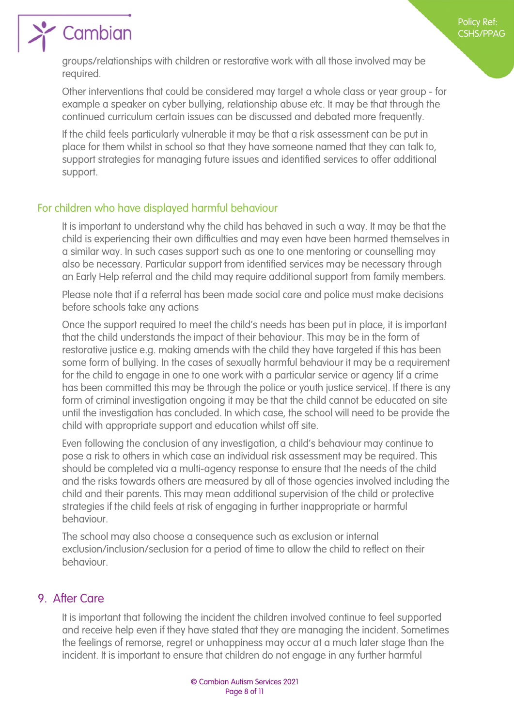

## Cambian

groups/relationships with children or restorative work with all those involved may be required.

Other interventions that could be considered may target a whole class or year group - for example a speaker on cyber bullying, relationship abuse etc. It may be that through the continued curriculum certain issues can be discussed and debated more frequently.

If the child feels particularly vulnerable it may be that a risk assessment can be put in place for them whilst in school so that they have someone named that they can talk to, support strategies for managing future issues and identified services to offer additional support.

#### For children who have displayed harmful behaviour

<span id="page-7-0"></span>It is important to understand why the child has behaved in such a way. It may be that the child is experiencing their own difficulties and may even have been harmed themselves in a similar way. In such cases support such as one to one mentoring or counselling may also be necessary. Particular support from identified services may be necessary through an Early Help referral and the child may require additional support from family members.

Please note that if a referral has been made social care and police must make decisions before schools take any actions

Once the support required to meet the child's needs has been put in place, it is important that the child understands the impact of their behaviour. This may be in the form of restorative justice e.g. making amends with the child they have targeted if this has been some form of bullying. In the cases of sexually harmful behaviour it may be a requirement for the child to engage in one to one work with a particular service or agency (if a crime has been committed this may be through the police or youth justice service). If there is any form of criminal investigation ongoing it may be that the child cannot be educated on site until the investigation has concluded. In which case, the school will need to be provide the child with appropriate support and education whilst off site.

Even following the conclusion of any investigation, a child's behaviour may continue to pose a risk to others in which case an individual risk assessment may be required. This should be completed via a multi-agency response to ensure that the needs of the child and the risks towards others are measured by all of those agencies involved including the child and their parents. This may mean additional supervision of the child or protective strategies if the child feels at risk of engaging in further inappropriate or harmful behaviour.

The school may also choose a consequence such as exclusion or internal exclusion/inclusion/seclusion for a period of time to allow the child to reflect on their behaviour.

#### 9. After Care

<span id="page-7-1"></span>It is important that following the incident the children involved continue to feel supported and receive help even if they have stated that they are managing the incident. Sometimes the feelings of remorse, regret or unhappiness may occur at a much later stage than the incident. It is important to ensure that children do not engage in any further harmful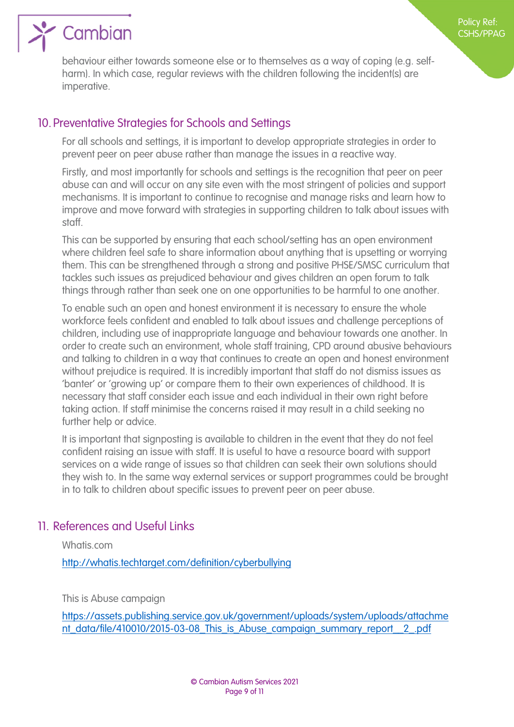

behaviour either towards someone else or to themselves as a way of coping (e.g. selfharm). In which case, regular reviews with the children following the incident(s) are imperative.

Policy Ref: CSHS/PPAG

#### 10. Preventative Strategies for Schools and Settings

<span id="page-8-0"></span>For all schools and settings, it is important to develop appropriate strategies in order to prevent peer on peer abuse rather than manage the issues in a reactive way.

Firstly, and most importantly for schools and settings is the recognition that peer on peer abuse can and will occur on any site even with the most stringent of policies and support mechanisms. It is important to continue to recognise and manage risks and learn how to improve and move forward with strategies in supporting children to talk about issues with staff.

This can be supported by ensuring that each school/setting has an open environment where children feel safe to share information about anything that is upsetting or worrying them. This can be strengthened through a strong and positive PHSE/SMSC curriculum that tackles such issues as prejudiced behaviour and gives children an open forum to talk things through rather than seek one on one opportunities to be harmful to one another.

To enable such an open and honest environment it is necessary to ensure the whole workforce feels confident and enabled to talk about issues and challenge perceptions of children, including use of inappropriate language and behaviour towards one another. In order to create such an environment, whole staff training, CPD around abusive behaviours and talking to children in a way that continues to create an open and honest environment without prejudice is required. It is incredibly important that staff do not dismiss issues as 'banter' or 'growing up' or compare them to their own experiences of childhood. It is necessary that staff consider each issue and each individual in their own right before taking action. If staff minimise the concerns raised it may result in a child seeking no further help or advice.

It is important that signposting is available to children in the event that they do not feel confident raising an issue with staff. It is useful to have a resource board with support services on a wide range of issues so that children can seek their own solutions should they wish to. In the same way external services or support programmes could be brought in to talk to children about specific issues to prevent peer on peer abuse.

#### 11. References and Useful Links

<span id="page-8-1"></span>Whatis.com

<http://whatis.techtarget.com/definition/cyberbullying>

This is Abuse campaign

[https://assets.publishing.service.gov.uk/government/uploads/system/uploads/attachme](https://assets.publishing.service.gov.uk/government/uploads/system/uploads/attachment_data/file/410010/2015-03-08_This_is_Abuse_campaign_summary_report__2_.pdf) [nt\\_data/file/410010/2015-03-08\\_This\\_is\\_Abuse\\_campaign\\_summary\\_report\\_\\_2\\_.pdf](https://assets.publishing.service.gov.uk/government/uploads/system/uploads/attachment_data/file/410010/2015-03-08_This_is_Abuse_campaign_summary_report__2_.pdf)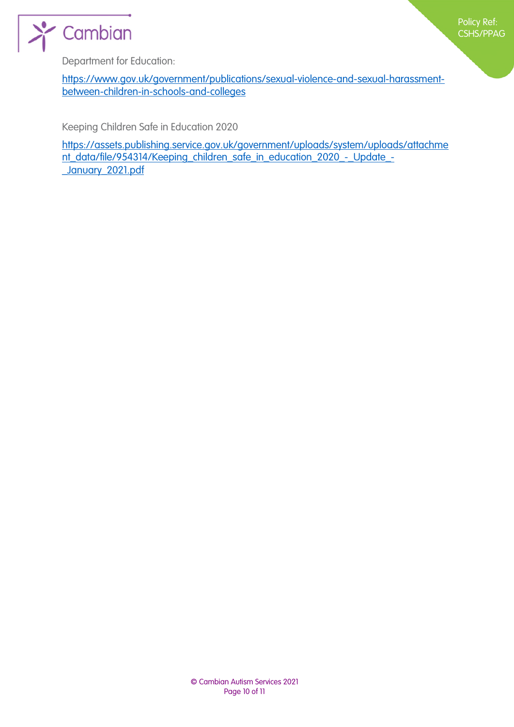



Department for Education:

[https://www.gov.uk/government/publications/sexual-violence-and-sexual-harassment](https://www.gov.uk/government/publications/sexual-violence-and-sexual-harassment-between-children-in-schools-and-colleges)[between-children-in-schools-and-colleges](https://www.gov.uk/government/publications/sexual-violence-and-sexual-harassment-between-children-in-schools-and-colleges)

Keeping Children Safe in Education 2020

[https://assets.publishing.service.gov.uk/government/uploads/system/uploads/attachme](https://assets.publishing.service.gov.uk/government/uploads/system/uploads/attachment_data/file/954314/Keeping_children_safe_in_education_2020_-_Update_-_January_2021.pdf) nt\_data/file/954314/Keeping\_children\_safe\_in\_education\_2020\_-\_Update\_-[\\_January\\_2021.pdf](https://assets.publishing.service.gov.uk/government/uploads/system/uploads/attachment_data/file/954314/Keeping_children_safe_in_education_2020_-_Update_-_January_2021.pdf)